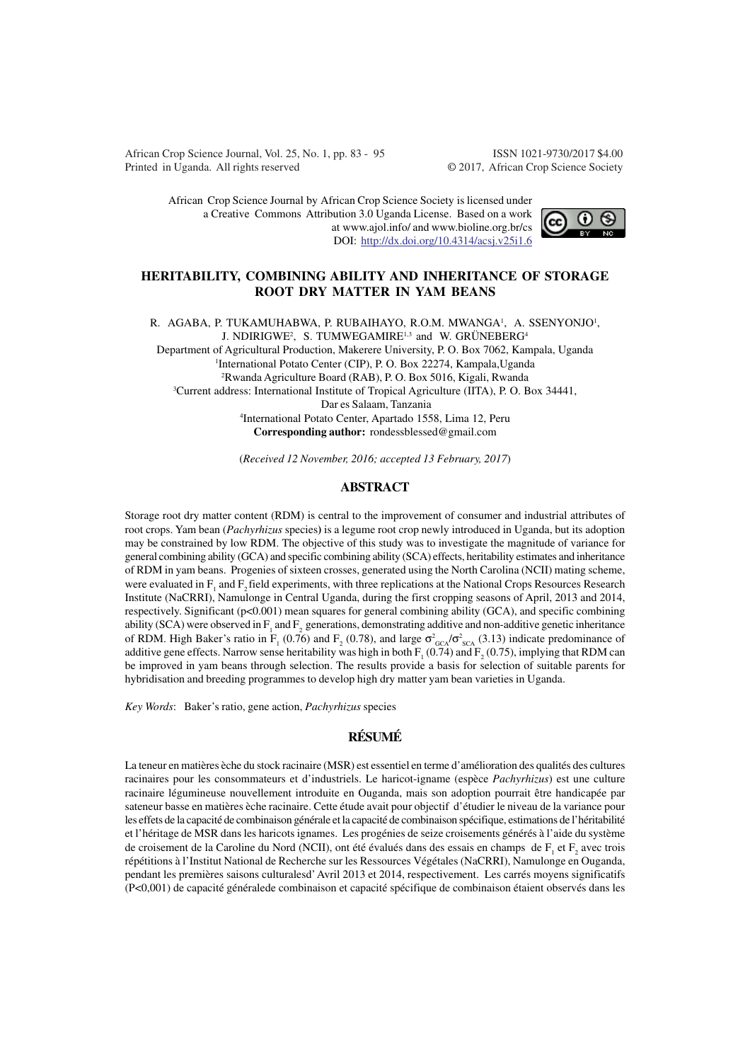African Crop Science Journal, Vol. 25, No. 1, pp. 83 - 95 ISSN 1021-9730/2017 \$4.00 Printed in Uganda. All rights reserved © 2017, African Crop Science Society

African Crop Science Journal by African Crop Science Society is licensed under a Creative Commons Attribution 3.0 Uganda License. Based on a work at www.ajol.info/ and www.bioline.org.br/cs DOI: http://dx.doi.org/10.4314/acsj.v25i1.6



## **HERITABILITY, COMBINING ABILITY AND INHERITANCE OF STORAGE ROOT DRY MATTER IN YAM BEANS**

R. AGABA, P. TUKAMUHABWA, P. RUBAIHAYO, R.O.M. MWANGA<sup>1</sup>, A. SSENYONJO<sup>1</sup>, J. NDIRIGWE<sup>2</sup>, S. TUMWEGAMIRE<sup>1,3</sup> and W. GRÜNEBERG<sup>4</sup> Department of Agricultural Production, Makerere University, P. O. Box 7062, Kampala, Uganda 1 International Potato Center (CIP), P. O. Box 22274, Kampala,Uganda <sup>2</sup>Rwanda Agriculture Board (RAB), P. O. Box 5016, Kigali, Rwanda <sup>3</sup>Current address: International Institute of Tropical Agriculture (IITA), P. O. Box 34441, Dar es Salaam, Tanzania 4 International Potato Center, Apartado 1558, Lima 12, Peru **Corresponding author:** rondessblessed@gmail.com

(*Received 12 November, 2016; accepted 13 February, 2017*)

## **ABSTRACT**

Storage root dry matter content (RDM) is central to the improvement of consumer and industrial attributes of root crops. Yam bean (*Pachyrhizus* species**)** is a legume root crop newly introduced in Uganda, but its adoption may be constrained by low RDM. The objective of this study was to investigate the magnitude of variance for general combining ability (GCA) and specific combining ability (SCA) effects, heritability estimates and inheritance of RDM in yam beans. Progenies of sixteen crosses, generated using the North Carolina (NCII) mating scheme, were evaluated in  $F_1$  and  $F_2$  field experiments, with three replications at the National Crops Resources Research Institute (NaCRRI), Namulonge in Central Uganda, during the first cropping seasons of April, 2013 and 2014, respectively. Significant (p<0.001) mean squares for general combining ability (GCA), and specific combining ability (SCA) were observed in  $F_1$  and  $F_2$  generations, demonstrating additive and non-additive genetic inheritance of RDM. High Baker's ratio in F<sub>1</sub> (0.76) and F<sub>2</sub> (0.78), and large  $\sigma_{GCA}^2/\sigma_{SCA}^2$  (3.13) indicate predominance of additive gene effects. Narrow sense heritability was high in both  $F_1(0.74)$  and  $F_2(0.75)$ , implying that RDM can be improved in yam beans through selection. The results provide a basis for selection of suitable parents for hybridisation and breeding programmes to develop high dry matter yam bean varieties in Uganda.

*Key Words*: Baker's ratio, gene action, *Pachyrhizus* species

# **RÉSUMÉ**

La teneur en matières èche du stock racinaire (MSR) est essentiel en terme d'amélioration des qualités des cultures racinaires pour les consommateurs et d'industriels. Le haricot-igname (espèce *Pachyrhizus*) est une culture racinaire légumineuse nouvellement introduite en Ouganda, mais son adoption pourrait être handicapée par sateneur basse en matières èche racinaire. Cette étude avait pour objectif d'étudier le niveau de la variance pour les effets de la capacité de combinaison générale et la capacité de combinaison spécifique, estimations de l'héritabilité et l'héritage de MSR dans les haricots ignames. Les progénies de seize croisements générés à l'aide du système de croisement de la Caroline du Nord (NCII), ont été évalués dans des essais en champs de  $F_1$  et  $F_2$  avec trois répétitions à l'Institut National de Recherche sur les Ressources Végétales (NaCRRI), Namulonge en Ouganda, pendant les premières saisons culturalesd' Avril 2013 et 2014, respectivement. Les carrés moyens significatifs (P<0,001) de capacité généralede combinaison et capacité spécifique de combinaison étaient observés dans les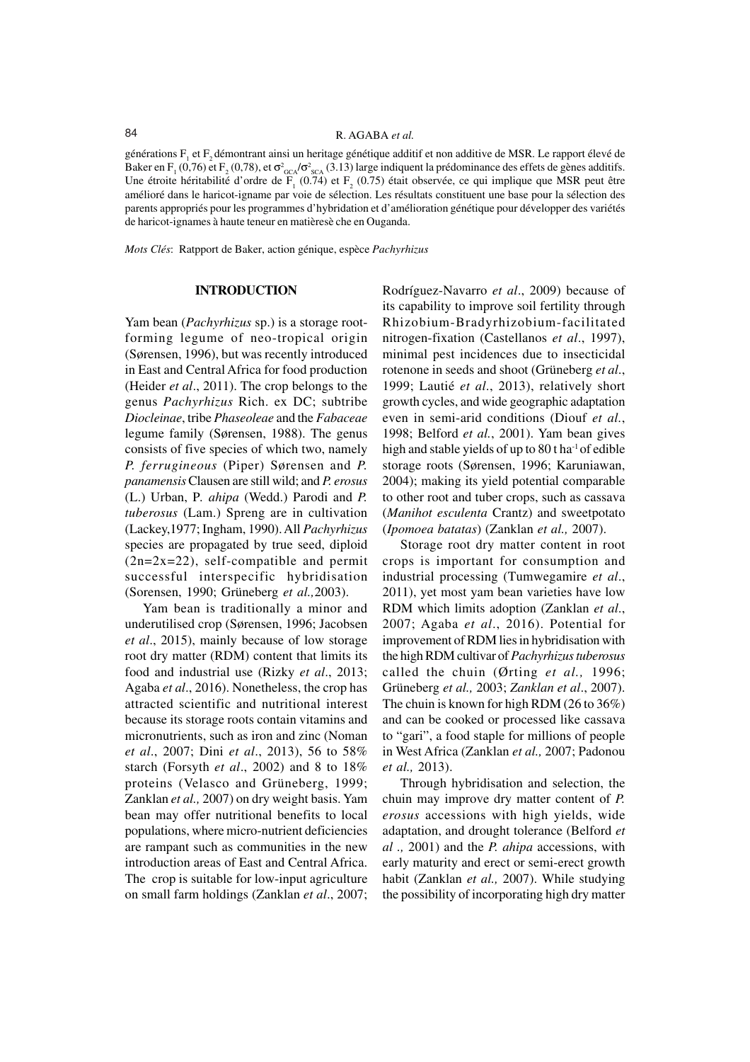# 84 R. AGABA *et al.*

générations F<sub>1</sub> et F<sub>2</sub> démontrant ainsi un heritage génétique additif et non additive de MSR. Le rapport élevé de Baker en F<sub>1</sub> (0,76) et F<sub>2</sub> (0,78), et  $\sigma_{GCA}^2/\sigma_{SCA}^2$  (3.13) large indiquent la prédominance des effets de gènes additifs. Une étroite héritabilité d'ordre de  $F_1$  (0.74) et  $F_2$  (0.75) était observée, ce qui implique que MSR peut être amélioré dans le haricot-igname par voie de sélection. Les résultats constituent une base pour la sélection des parents appropriés pour les programmes d'hybridation et d'amélioration génétique pour développer des variétés de haricot-ignames à haute teneur en matièresè che en Ouganda.

*Mots Clés*: Ratpport de Baker, action génique, espèce *Pachyrhizus*

### **INTRODUCTION**

Yam bean (*Pachyrhizus* sp.) is a storage rootforming legume of neo-tropical origin (Sørensen, 1996), but was recently introduced in East and Central Africa for food production (Heider *et al*., 2011). The crop belongs to the genus *Pachyrhizus* Rich. ex DC; subtribe *Diocleinae*, tribe *Phaseoleae* and the *Fabaceae* legume family (Sørensen, 1988). The genus consists of five species of which two, namely *P. ferrugineous* (Piper) Sørensen and *P. panamensis* Clausen are still wild; and *P. erosus* (L.) Urban, P*. ahipa* (Wedd.) Parodi and *P. tuberosus* (Lam.) Spreng are in cultivation (Lackey,1977; Ingham, 1990). All *Pachyrhizus* species are propagated by true seed, diploid (2n=2x=22), self-compatible and permit successful interspecific hybridisation (Sorensen, 1990; Grüneberg *et al.,*2003).

Yam bean is traditionally a minor and underutilised crop (Sørensen, 1996; Jacobsen *et al*., 2015), mainly because of low storage root dry matter (RDM) content that limits its food and industrial use (Rizky *et al*., 2013; Agaba *et al*., 2016). Nonetheless, the crop has attracted scientific and nutritional interest because its storage roots contain vitamins and micronutrients, such as iron and zinc (Noman *et al*., 2007; Dini *et al*., 2013), 56 to 58% starch (Forsyth *et al*., 2002) and 8 to 18% proteins (Velasco and Grüneberg, 1999; Zanklan *et al.,* 2007) on dry weight basis. Yam bean may offer nutritional benefits to local populations, where micro-nutrient deficiencies are rampant such as communities in the new introduction areas of East and Central Africa. The crop is suitable for low-input agriculture on small farm holdings (Zanklan *et al*., 2007;

Rodríguez-Navarro *et al*., 2009) because of its capability to improve soil fertility through Rhizobium-Bradyrhizobium-facilitated nitrogen-fixation (Castellanos *et al*., 1997), minimal pest incidences due to insecticidal rotenone in seeds and shoot (Grüneberg *et al*., 1999; Lautié *et al*., 2013), relatively short growth cycles, and wide geographic adaptation even in semi-arid conditions (Diouf *et al.*, 1998; Belford *et al.*, 2001). Yam bean gives high and stable yields of up to  $80$  t ha<sup>-1</sup> of edible storage roots (Sørensen, 1996; Karuniawan, 2004); making its yield potential comparable to other root and tuber crops, such as cassava (*Manihot esculenta* Crantz) and sweetpotato (*Ipomoea batatas*) (Zanklan *et al.,* 2007).

Storage root dry matter content in root crops is important for consumption and industrial processing (Tumwegamire *et al*., 2011), yet most yam bean varieties have low RDM which limits adoption (Zanklan *et al*., 2007; Agaba *et al*., 2016). Potential for improvement of RDM lies in hybridisation with the high RDM cultivar of *Pachyrhizus tuberosus* called the chuin (Ørting *et al.,* 1996; Grüneberg *et al.,* 2003; *Zanklan et al*., 2007). The chuin is known for high RDM (26 to 36%) and can be cooked or processed like cassava to "gari", a food staple for millions of people in West Africa (Zanklan *et al.,* 2007; Padonou *et al.,* 2013).

Through hybridisation and selection, the chuin may improve dry matter content of *P. erosus* accessions with high yields, wide adaptation, and drought tolerance (Belford *et al .,* 2001) and the *P. ahipa* accessions, with early maturity and erect or semi-erect growth habit (Zanklan *et al.,* 2007). While studying the possibility of incorporating high dry matter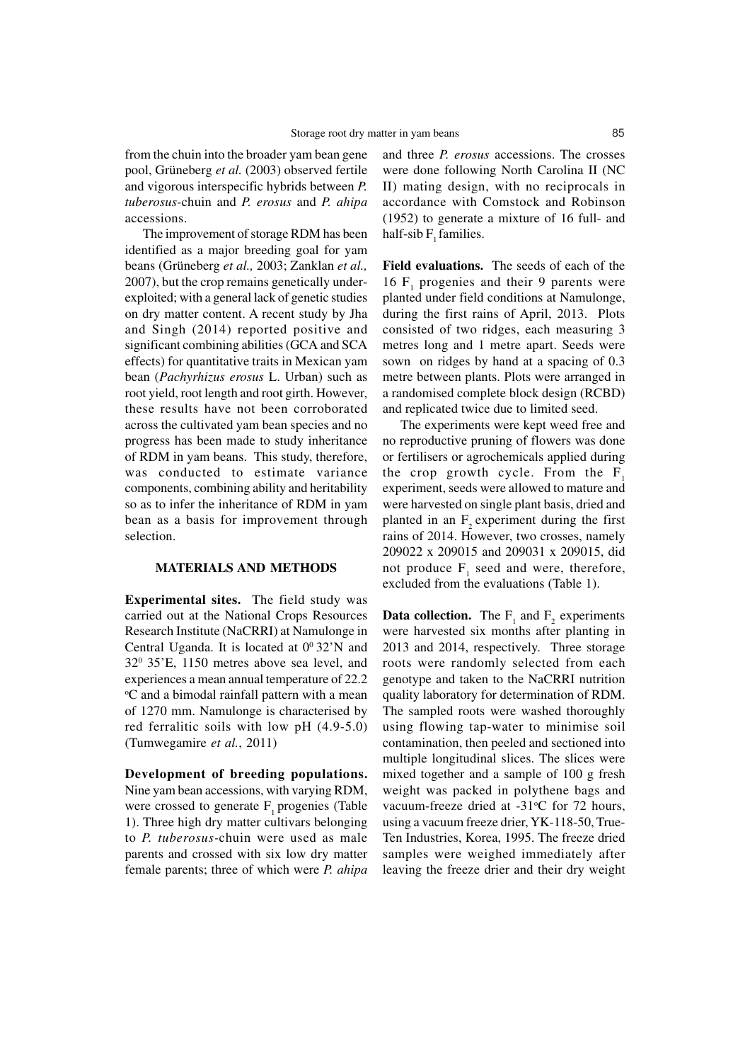from the chuin into the broader yam bean gene pool, Grüneberg *et al.* (2003) observed fertile and vigorous interspecific hybrids between *P. tuberosus-*chuin and *P. erosus* and *P. ahipa* accessions.

The improvement of storage RDM has been identified as a major breeding goal for yam beans (Grüneberg *et al.,* 2003; Zanklan *et al.,* 2007), but the crop remains genetically underexploited; with a general lack of genetic studies on dry matter content. A recent study by Jha and Singh (2014) reported positive and significant combining abilities (GCA and SCA effects) for quantitative traits in Mexican yam bean (*Pachyrhizus erosus* L. Urban) such as root yield, root length and root girth. However, these results have not been corroborated across the cultivated yam bean species and no progress has been made to study inheritance of RDM in yam beans. This study, therefore, was conducted to estimate variance components, combining ability and heritability so as to infer the inheritance of RDM in yam bean as a basis for improvement through selection.

## **MATERIALS AND METHODS**

**Experimental sites.** The field study was carried out at the National Crops Resources Research Institute (NaCRRI) at Namulonge in Central Uganda. It is located at  $0^0$  32'N and 32<sup>0</sup> 35'E, 1150 metres above sea level, and experiences a mean annual temperature of 22.2 <sup>o</sup>C and a bimodal rainfall pattern with a mean of 1270 mm. Namulonge is characterised by red ferralitic soils with low pH (4.9-5.0) (Tumwegamire *et al.*, 2011)

**Development of breeding populations.** Nine yam bean accessions, with varying RDM, were crossed to generate  $F_1$  progenies (Table 1). Three high dry matter cultivars belonging to *P. tuberosus-*chuin were used as male parents and crossed with six low dry matter female parents; three of which were *P. ahipa*

and three *P. erosus* accessions. The crosses were done following North Carolina II (NC II) mating design, with no reciprocals in accordance with Comstock and Robinson (1952) to generate a mixture of 16 full- and half-sib  $F_1$  families.

**Field evaluations.** The seeds of each of the 16  $F_1$  progenies and their 9 parents were planted under field conditions at Namulonge, during the first rains of April, 2013. Plots consisted of two ridges, each measuring 3 metres long and 1 metre apart. Seeds were sown on ridges by hand at a spacing of 0.3 metre between plants. Plots were arranged in a randomised complete block design (RCBD) and replicated twice due to limited seed.

The experiments were kept weed free and no reproductive pruning of flowers was done or fertilisers or agrochemicals applied during the crop growth cycle. From the  $F<sub>1</sub>$ experiment, seeds were allowed to mature and were harvested on single plant basis, dried and planted in an  $F<sub>2</sub>$  experiment during the first rains of 2014. However, two crosses, namely 209022 x 209015 and 209031 x 209015, did not produce  $F_1$  seed and were, therefore, excluded from the evaluations (Table 1).

**Data collection.** The  $F_1$  and  $F_2$  experiments were harvested six months after planting in 2013 and 2014, respectively. Three storage roots were randomly selected from each genotype and taken to the NaCRRI nutrition quality laboratory for determination of RDM. The sampled roots were washed thoroughly using flowing tap-water to minimise soil contamination, then peeled and sectioned into multiple longitudinal slices. The slices were mixed together and a sample of 100 g fresh weight was packed in polythene bags and vacuum-freeze dried at -31°C for 72 hours, using a vacuum freeze drier, YK-118-50, True-Ten Industries, Korea, 1995. The freeze dried samples were weighed immediately after leaving the freeze drier and their dry weight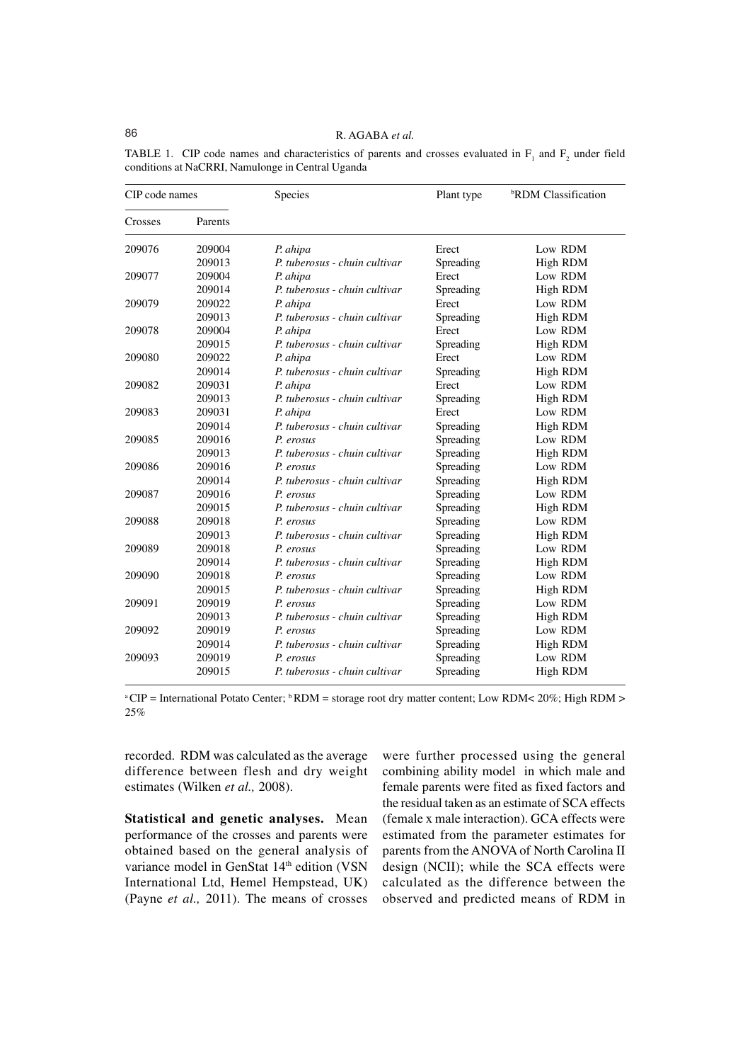# 86 R. AGABA *et al.*

| CIP code names |         | Species                       | Plant type | <sup>b</sup> RDM Classification |  |
|----------------|---------|-------------------------------|------------|---------------------------------|--|
| Crosses        | Parents |                               |            |                                 |  |
| 209076         | 209004  | P. ahipa                      | Erect      | Low RDM                         |  |
|                | 209013  | P. tuberosus - chuin cultivar | Spreading  | High RDM                        |  |
| 209077         | 209004  | P. ahipa                      | Erect      | Low RDM                         |  |
|                | 209014  | P. tuberosus - chuin cultivar | Spreading  | High RDM                        |  |
| 209079         | 209022  | P. ahipa                      | Erect      | Low RDM                         |  |
|                | 209013  | P. tuberosus - chuin cultivar | Spreading  | High RDM                        |  |
| 209078         | 209004  | P. ahipa                      | Erect      | Low RDM                         |  |
|                | 209015  | P. tuberosus - chuin cultivar | Spreading  | High RDM                        |  |
| 209080         | 209022  | P. ahipa                      | Erect      | Low RDM                         |  |
|                | 209014  | P. tuberosus - chuin cultivar | Spreading  | <b>High RDM</b>                 |  |
| 209082         | 209031  | P. ahipa                      | Erect      | Low RDM                         |  |
|                | 209013  | P. tuberosus - chuin cultivar | Spreading  | <b>High RDM</b>                 |  |
| 209083         | 209031  | P. ahipa                      | Erect      | Low RDM                         |  |
|                | 209014  | P. tuberosus - chuin cultivar | Spreading  | High RDM                        |  |
| 209085         | 209016  | P. erosus                     | Spreading  | Low RDM                         |  |
|                | 209013  | P. tuberosus - chuin cultivar | Spreading  | <b>High RDM</b>                 |  |
| 209086         | 209016  | P. erosus                     | Spreading  | Low RDM                         |  |
|                | 209014  | P. tuberosus - chuin cultivar | Spreading  | High RDM                        |  |
| 209087         | 209016  | P. erosus                     | Spreading  | Low RDM                         |  |
|                | 209015  | P. tuberosus - chuin cultivar | Spreading  | High RDM                        |  |
| 209088         | 209018  | P. erosus                     | Spreading  | Low RDM                         |  |
|                | 209013  | P. tuberosus - chuin cultivar | Spreading  | High RDM                        |  |
| 209089         | 209018  | P. erosus                     | Spreading  | Low RDM                         |  |
|                | 209014  | P. tuberosus - chuin cultivar | Spreading  | High RDM                        |  |
| 209090         | 209018  | P. erosus                     | Spreading  | Low RDM                         |  |
|                | 209015  | P. tuberosus - chuin cultivar | Spreading  | High RDM                        |  |
| 209091         | 209019  | P. erosus                     | Spreading  | Low RDM                         |  |
|                | 209013  | P. tuberosus - chuin cultivar | Spreading  | High RDM                        |  |
| 209092         | 209019  | P. erosus                     | Spreading  | Low RDM                         |  |
|                | 209014  | P. tuberosus - chuin cultivar | Spreading  | High RDM                        |  |
| 209093         | 209019  | P. erosus                     | Spreading  | Low RDM                         |  |
|                | 209015  | P. tuberosus - chuin cultivar | Spreading  | <b>High RDM</b>                 |  |

TABLE 1. CIP code names and characteristics of parents and crosses evaluated in  $F_1$  and  $F_2$  under field conditions at NaCRRI, Namulonge in Central Uganda

<sup>a</sup>CIP = International Potato Center;  $\frac{b}{b}$  RDM = storage root dry matter content; Low RDM< 20%; High RDM > 25%

recorded. RDM was calculated as the average difference between flesh and dry weight estimates (Wilken *et al.,* 2008).

**Statistical and genetic analyses.** Mean performance of the crosses and parents were obtained based on the general analysis of variance model in GenStat 14<sup>th</sup> edition (VSN International Ltd, Hemel Hempstead, UK) (Payne *et al.,* 2011). The means of crosses

were further processed using the general combining ability model in which male and female parents were fited as fixed factors and the residual taken as an estimate of SCA effects (female x male interaction). GCA effects were estimated from the parameter estimates for parents from the ANOVA of North Carolina II design (NCII); while the SCA effects were calculated as the difference between the observed and predicted means of RDM in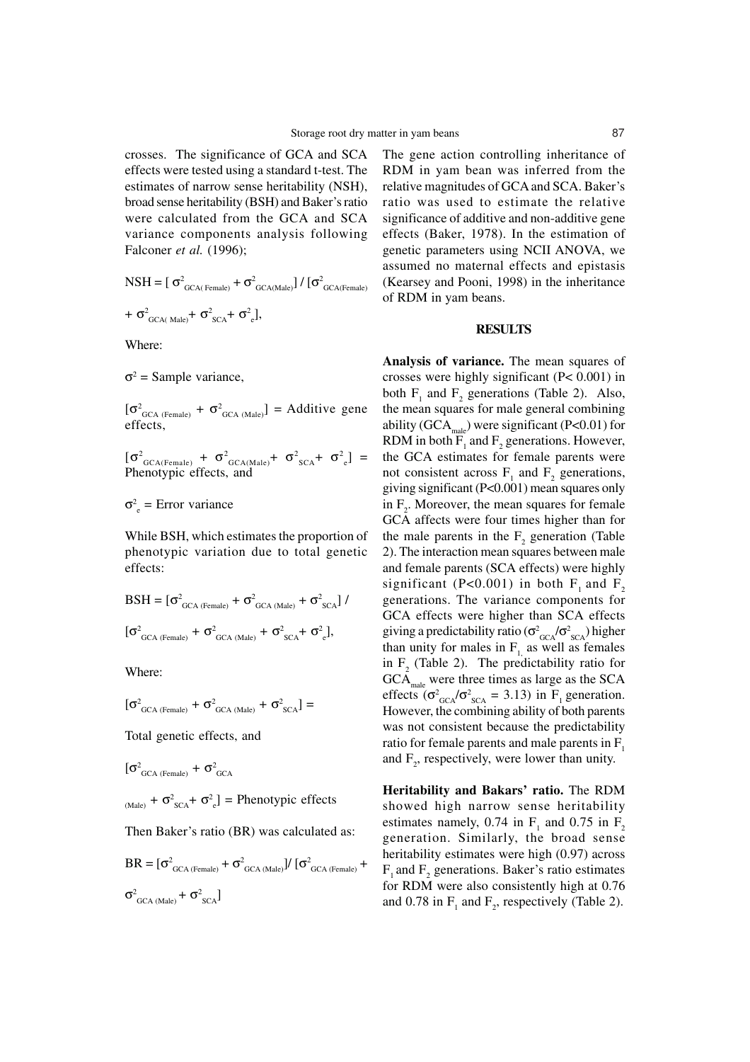crosses. The significance of GCA and SCA effects were tested using a standard t-test. The estimates of narrow sense heritability (NSH), broad sense heritability (BSH) and Baker's ratio were calculated from the GCA and SCA variance components analysis following Falconer *et al.* (1996);

$$
NSH = [\sigma^{2}_{\text{GCA(Female)}} + \sigma^{2}_{\text{GCA(Male)}}] / [\sigma^{2}_{\text{GCA(Female)}}
$$

$$
+\sigma^2_{\text{GCA(Male)}}+\sigma^2_{\text{SCA}}+\sigma^2_{\text{e}}],
$$

Where:

 $\sigma^2$  = Sample variance,

 $[\sigma^2_{GCA (Female)} + \sigma^2_{GCA (Male)}] = Additive gene$ effects,

 $\left[\sigma^2_{\text{GCA(Female)}} + \sigma^2_{\text{GCA(Male)}} + \sigma^2_{\text{SCA}} + \sigma^2_{\text{e}}\right] =$ Phenotypic effects, and

 $\sigma_{\rm e}^2$  = Error variance

While BSH, which estimates the proportion of phenotypic variation due to total genetic effects:

$$
BSH = [\sigma^{2}_{GCA (Female)} + \sigma^{2}_{GCA (Male)} + \sigma^{2}_{SCA}) / (\sigma^{2}_{GCA (Female)} + \sigma^{2}_{GCA (Male)} + \sigma^{2}_{SCA} + \sigma^{2}_{e}],
$$

Where:

$$
[\sigma^{2}_{\text{GCA (Female)}} + \sigma^{2}_{\text{GCA (Male)}} + \sigma^{2}_{\text{SCA}}] =
$$

Total genetic effects, and

$$
[\sigma^2_{\text{GCA (Female)}} + \sigma^2_{\text{GCA}}
$$

 $_{\text{(Male)}} + \sigma_{\text{SCA}}^2 + \sigma_{\text{e}}^2$  = Phenotypic effects

Then Baker's ratio (BR) was calculated as:

$$
BR = [\sigma^{2}_{GCA (Female)} + \sigma^{2}_{GCA (Male)}) / [\sigma^{2}_{GCA (Female)} +
$$
  

$$
\sigma^{2}_{GCA (Male)} + \sigma^{2}_{SCA}]
$$

The gene action controlling inheritance of RDM in yam bean was inferred from the relative magnitudes of GCA and SCA. Baker's ratio was used to estimate the relative significance of additive and non-additive gene effects (Baker, 1978). In the estimation of genetic parameters using NCII ANOVA, we assumed no maternal effects and epistasis (Kearsey and Pooni, 1998) in the inheritance of RDM in yam beans.

## **RESULTS**

**Analysis of variance.** The mean squares of crosses were highly significant (P< 0.001) in both  $F_1$  and  $F_2$  generations (Table 2). Also, the mean squares for male general combining ability (GCA<sub>male</sub>) were significant (P<0.01) for RDM in both  $F_1$  and  $F_2$  generations. However, the GCA estimates for female parents were not consistent across  $F_1$  and  $F_2$  generations, giving significant (P<0.001) mean squares only in  $F_2$ . Moreover, the mean squares for female GCA affects were four times higher than for the male parents in the  $F_2$  generation (Table 2). The interaction mean squares between male and female parents (SCA effects) were highly significant (P<0.001) in both  $F_1$  and  $F_2$ generations. The variance components for GCA effects were higher than SCA effects giving a predictability ratio ( $\sigma_{GCA}^2/\sigma_{SCA}^2$ ) higher than unity for males in  $F_1$  as well as females in  $F_2$  (Table 2). The predictability ratio for  $GCA<sub>male</sub>$  were three times as large as the SCA effects ( $\sigma_{GCA}^2/\sigma_{SCA}^2 = 3.13$ ) in F<sub>1</sub> generation. However, the combining ability of both parents was not consistent because the predictability ratio for female parents and male parents in  $F<sub>1</sub>$ and  $F_2$ , respectively, were lower than unity.

**Heritability and Bakars' ratio.** The RDM showed high narrow sense heritability estimates namely, 0.74 in  $F_1$  and 0.75 in  $F_2$ generation. Similarly, the broad sense heritability estimates were high (0.97) across  $F_1$  and  $F_2$  generations. Baker's ratio estimates for RDM were also consistently high at 0.76 and 0.78 in  $F_1$  and  $F_2$ , respectively (Table 2).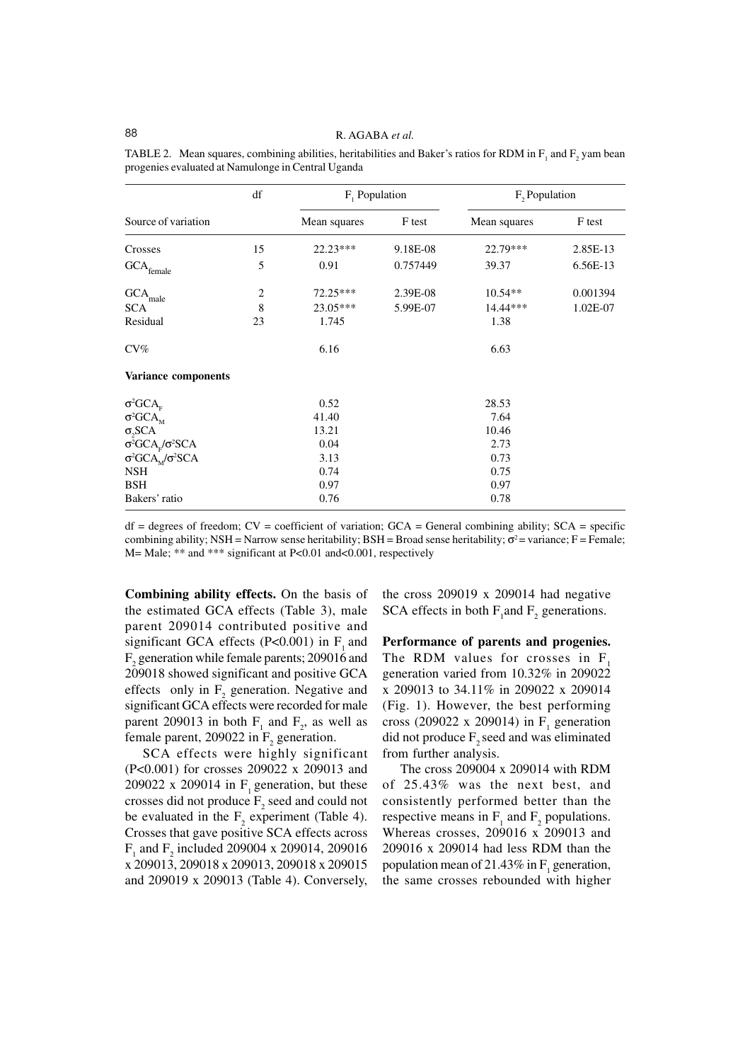88 R. AGABA *et al.*

|                                         | df | $F_1$ Population |          | F, Population |          |
|-----------------------------------------|----|------------------|----------|---------------|----------|
| Source of variation                     |    | Mean squares     | F test   | Mean squares  | F test   |
| Crosses                                 | 15 | 22.23***         | 9.18E-08 | 22.79***      | 2.85E-13 |
| $\text{GCA}_{\text{female}}$            | 5  | 0.91             | 0.757449 | 39.37         | 6.56E-13 |
| <b>GCA</b><br>male                      | 2  | 72.25***         | 2.39E-08 | $10.54**$     | 0.001394 |
| <b>SCA</b>                              | 8  | 23.05***         | 5.99E-07 | 14.44***      | 1.02E-07 |
| Residual                                | 23 | 1.745            |          | 1.38          |          |
| $CV\%$                                  |    | 6.16             |          | 6.63          |          |
| Variance components                     |    |                  |          |               |          |
| $\sigma^2 GCA_{\rm F}$                  |    | 0.52             |          | 28.53         |          |
| $\sigma^2 GCA_M$                        |    | 41.40            |          | 7.64          |          |
| $\sigma_2$ SCA                          |    | 13.21            |          | 10.46         |          |
| $\sigma^2 GCA_r/\sigma^2 SCA$           |    | 0.04             |          | 2.73          |          |
| $\sigma^2 GCA_M^{\dagger}/\sigma^2 SCA$ |    | 3.13             |          | 0.73          |          |
| <b>NSH</b>                              |    | 0.74             |          | 0.75          |          |
| <b>BSH</b>                              |    | 0.97             |          | 0.97          |          |
| Bakers' ratio                           |    | 0.76             |          | 0.78          |          |

TABLE 2. Mean squares, combining abilities, heritabilities and Baker's ratios for RDM in  $F_1$  and  $F_2$  yam bean progenies evaluated at Namulonge in Central Uganda

 $df = degrees of freedom$ ;  $CV = coefficient of variation$ ;  $GCA = General combining ability$ ;  $SCA = specific$ combining ability; NSH = Narrow sense heritability; BSH = Broad sense heritability;  $\sigma^2$  = variance; F = Female; M= Male; \*\* and \*\*\* significant at P<0.01 and<0.001, respectively

**Combining ability effects.** On the basis of the estimated GCA effects (Table 3), male parent 209014 contributed positive and significant GCA effects  $(P<0.001)$  in F, and  $F_2$  generation while female parents; 209016 and 209018 showed significant and positive GCA effects only in  $F_2$  generation. Negative and significant GCA effects were recorded for male parent 209013 in both  $F_1$  and  $F_2$ , as well as female parent, 209022 in  $F_2$  generation.

SCA effects were highly significant (P<0.001) for crosses 209022 x 209013 and 209022 x 209014 in  $F_1$  generation, but these crosses did not produce  $F_2$  seed and could not be evaluated in the  $F_2$  experiment (Table 4). Crosses that gave positive SCA effects across  $F_1$  and  $F_2$  included 209004 x 209014, 209016 x 209013, 209018 x 209013, 209018 x 209015 and 209019 x 209013 (Table 4). Conversely,

the cross 209019 x 209014 had negative SCA effects in both  $F_1$  and  $F_2$  generations.

**Performance of parents and progenies.** The RDM values for crosses in F. generation varied from 10.32% in 209022 x 209013 to 34.11% in 209022 x 209014 (Fig. 1). However, the best performing cross (209022 x 209014) in  $F_1$  generation did not produce  $F$ , seed and was eliminated from further analysis.

The cross 209004 x 209014 with RDM of 25.43% was the next best, and consistently performed better than the respective means in  $F_1$  and  $F_2$  populations. Whereas crosses, 209016 x 209013 and 209016 x 209014 had less RDM than the population mean of 21.43% in  $F_1$  generation, the same crosses rebounded with higher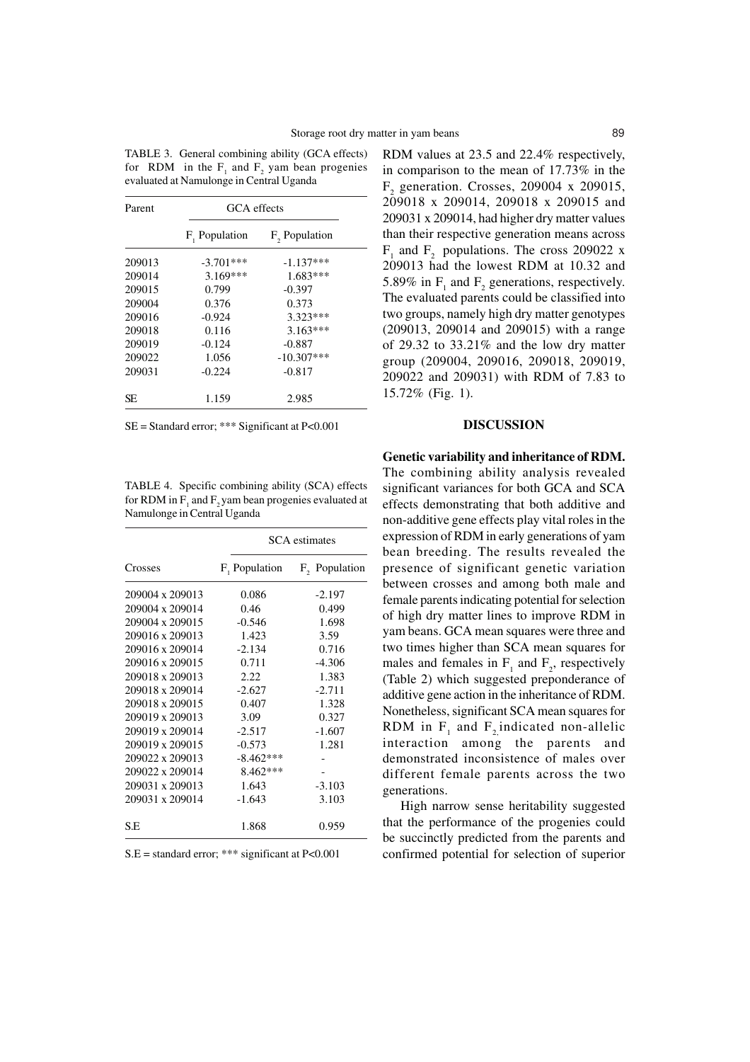| Parent | GCA effects   |                           |  |
|--------|---------------|---------------------------|--|
|        | F, Population | F <sub>2</sub> Population |  |
| 209013 | $-3.701***$   | $-1.137***$               |  |
| 209014 | $3.169***$    | $1.683***$                |  |
| 209015 | 0.799         | $-0.397$                  |  |
| 209004 | 0.376         | 0.373                     |  |
| 209016 | $-0.924$      | $3.323***$                |  |
| 209018 | 0.116         | $3.163***$                |  |
| 209019 | $-0.124$      | $-0.887$                  |  |
| 209022 | 1.056         | $-10.307$ ***             |  |
| 209031 | $-0.224$      | $-0.817$                  |  |
| SE     | 1.159         | 2.985                     |  |

TABLE 3. General combining ability (GCA effects) for RDM in the  $F_1$  and  $F_2$  yam bean progenies evaluated at Namulonge in Central Uganda

SE = Standard error; \*\*\* Significant at P<0.001

TABLE 4. Specific combining ability (SCA) effects for RDM in  $F_1$  and  $F_2$  yam bean progenies evaluated at Namulonge in Central Uganda

|                 | <b>SCA</b> estimates |                           |  |
|-----------------|----------------------|---------------------------|--|
| Crosses         | $F_1$ Population     | F <sub>2</sub> Population |  |
| 209004 x 209013 | 0.086                | $-2.197$                  |  |
| 209004 x 209014 | 0.46                 | 0.499                     |  |
| 209004 x 209015 | $-0.546$             | 1.698                     |  |
| 209016 x 209013 | 1.423                | 3.59                      |  |
| 209016 x 209014 | $-2.134$             | 0.716                     |  |
| 209016 x 209015 | 0.711                | $-4.306$                  |  |
| 209018 x 209013 | 2.22                 | 1.383                     |  |
| 209018 x 209014 | $-2.627$             | $-2.711$                  |  |
| 209018 x 209015 | 0.407                | 1.328                     |  |
| 209019 x 209013 | 3.09                 | 0.327                     |  |
| 209019 x 209014 | $-2.517$             | $-1.607$                  |  |
| 209019 x 209015 | $-0.573$             | 1.281                     |  |
| 209022 x 209013 | $-8.462***$          |                           |  |
| 209022 x 209014 | 8.462 ***            |                           |  |
| 209031 x 209013 | 1.643                | $-3.103$                  |  |
| 209031 x 209014 | $-1.643$             | 3.103                     |  |
| S.E             | 1.868                | 0.959                     |  |

 $S.E = standard error; ** significant at P<0.001$ 

RDM values at 23.5 and 22.4% respectively, in comparison to the mean of 17.73% in the  $F_2$  generation. Crosses, 209004 x 209015, 209018 x 209014, 209018 x 209015 and 209031 x 209014, had higher dry matter values than their respective generation means across  $F_1$  and  $F_2$  populations. The cross 209022 x 209013 had the lowest RDM at 10.32 and 5.89% in  $F_1$  and  $F_2$  generations, respectively. The evaluated parents could be classified into two groups, namely high dry matter genotypes (209013, 209014 and 209015) with a range of 29.32 to 33.21% and the low dry matter group (209004, 209016, 209018, 209019, 209022 and 209031) with RDM of 7.83 to 15.72% (Fig. 1).

### **DISCUSSION**

**Genetic variability and inheritance of RDM.**

The combining ability analysis revealed significant variances for both GCA and SCA effects demonstrating that both additive and non-additive gene effects play vital roles in the expression of RDM in early generations of yam bean breeding. The results revealed the presence of significant genetic variation between crosses and among both male and female parents indicating potential for selection of high dry matter lines to improve RDM in yam beans. GCA mean squares were three and two times higher than SCA mean squares for males and females in  $F_1$  and  $F_2$ , respectively (Table 2) which suggested preponderance of additive gene action in the inheritance of RDM. Nonetheless, significant SCA mean squares for RDM in  $F_1$  and  $F_2$  indicated non-allelic interaction among the parents and demonstrated inconsistence of males over different female parents across the two generations.

High narrow sense heritability suggested that the performance of the progenies could be succinctly predicted from the parents and confirmed potential for selection of superior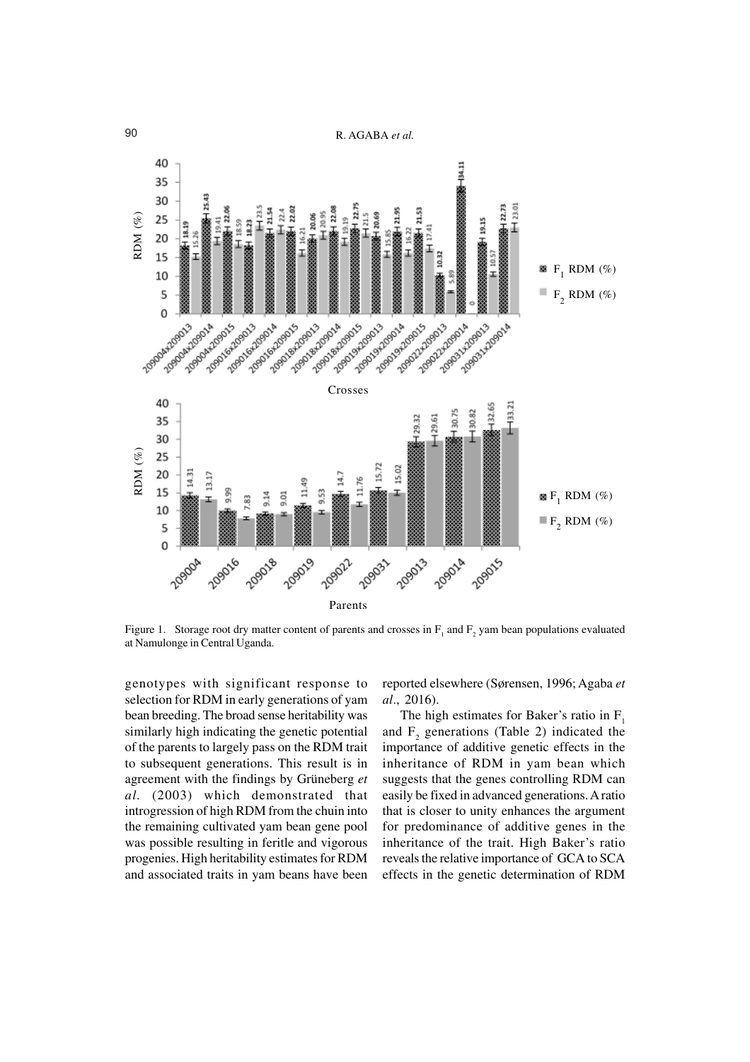



Figure 1. Storage root dry matter content of parents and crosses in  $F_1$  and  $F_2$  yam bean populations evaluated

genotypes with significant response to selection for RDM in early generations of yam bean breeding. The broad sense heritability was similarly high indicating the genetic potential of the parents to largely pass on the RDM trait to subsequent generations. This result is in agreement with the findings by Grüneberg *et al.* (2003) which demonstrated that introgression of high RDM from the chuin into the remaining cultivated yam bean gene pool was possible resulting in feritle and vigorous progenies. High heritability estimates for RDM and associated traits in yam beans have been

reported elsewhere (Sørensen, 1996; Agaba *et al*., 2016).

The high estimates for Baker's ratio in  $F_1$ and  $F_2$  generations (Table 2) indicated the importance of additive genetic effects in the inheritance of RDM in yam bean which suggests that the genes controlling RDM can easily be fixed in advanced generations. A ratio that is closer to unity enhances the argument for predominance of additive genes in the inheritance of the trait. High Baker's ratio reveals the relative importance of GCA to SCA effects in the genetic determination of RDM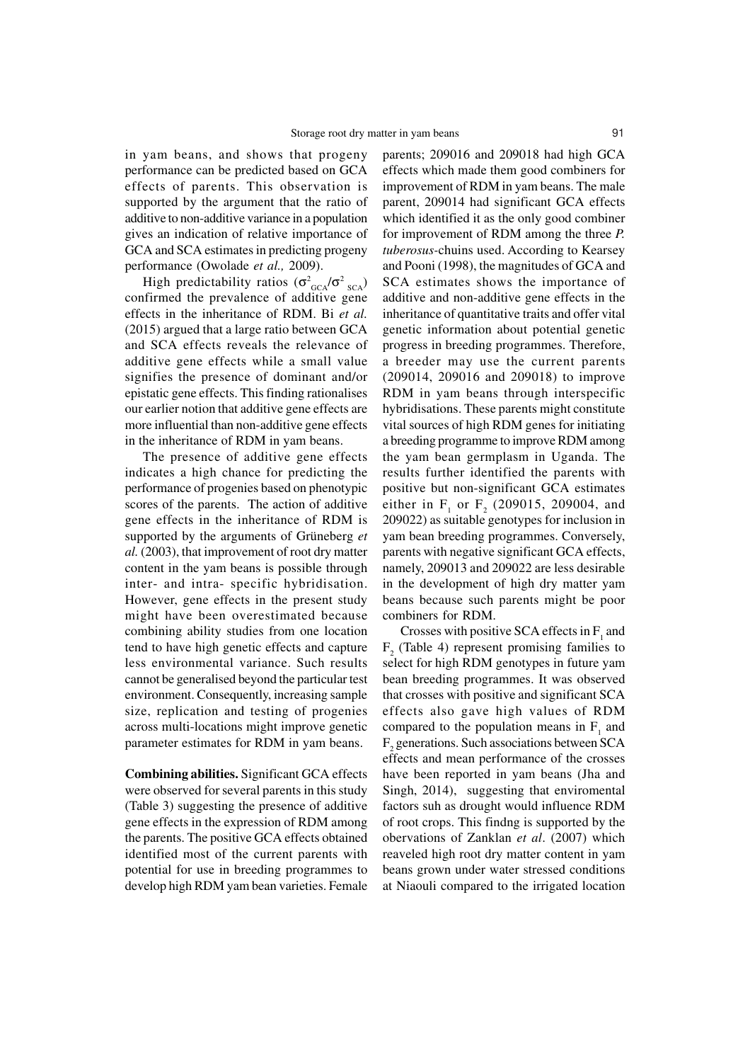in yam beans, and shows that progeny performance can be predicted based on GCA effects of parents. This observation is supported by the argument that the ratio of additive to non-additive variance in a population gives an indication of relative importance of GCA and SCA estimates in predicting progeny performance (Owolade *et al.,* 2009).

High predictability ratios  $(\sigma_{GCA}^2/\sigma_{SGA}^2)$ confirmed the prevalence of additive gene effects in the inheritance of RDM. Bi *et al.* (2015) argued that a large ratio between GCA and SCA effects reveals the relevance of additive gene effects while a small value signifies the presence of dominant and/or epistatic gene effects. This finding rationalises our earlier notion that additive gene effects are more influential than non-additive gene effects in the inheritance of RDM in yam beans.

The presence of additive gene effects indicates a high chance for predicting the performance of progenies based on phenotypic scores of the parents. The action of additive gene effects in the inheritance of RDM is supported by the arguments of Grüneberg *et al.* (2003), that improvement of root dry matter content in the yam beans is possible through inter- and intra- specific hybridisation. However, gene effects in the present study might have been overestimated because combining ability studies from one location tend to have high genetic effects and capture less environmental variance. Such results cannot be generalised beyond the particular test environment. Consequently, increasing sample size, replication and testing of progenies across multi-locations might improve genetic parameter estimates for RDM in yam beans.

**Combining abilities.** Significant GCA effects were observed for several parents in this study (Table 3) suggesting the presence of additive gene effects in the expression of RDM among the parents. The positive GCA effects obtained identified most of the current parents with potential for use in breeding programmes to develop high RDM yam bean varieties. Female

parents; 209016 and 209018 had high GCA effects which made them good combiners for improvement of RDM in yam beans. The male parent, 209014 had significant GCA effects which identified it as the only good combiner for improvement of RDM among the three *P. tuberosus-*chuins used. According to Kearsey and Pooni (1998), the magnitudes of GCA and SCA estimates shows the importance of additive and non-additive gene effects in the inheritance of quantitative traits and offer vital genetic information about potential genetic progress in breeding programmes. Therefore, a breeder may use the current parents (209014, 209016 and 209018) to improve RDM in yam beans through interspecific hybridisations. These parents might constitute vital sources of high RDM genes for initiating a breeding programme to improve RDM among the yam bean germplasm in Uganda. The results further identified the parents with positive but non-significant GCA estimates either in  $F_1$  or  $F_2$  (209015, 209004, and 209022) as suitable genotypes for inclusion in yam bean breeding programmes. Conversely, parents with negative significant GCA effects, namely, 209013 and 209022 are less desirable in the development of high dry matter yam beans because such parents might be poor combiners for RDM.

Crosses with positive SCA effects in  $F_1$  and  $F_2$  (Table 4) represent promising families to select for high RDM genotypes in future yam bean breeding programmes. It was observed that crosses with positive and significant SCA effects also gave high values of RDM compared to the population means in  $F_1$  and  $F_2$  generations. Such associations between SCA effects and mean performance of the crosses have been reported in yam beans (Jha and Singh, 2014), suggesting that enviromental factors suh as drought would influence RDM of root crops. This findng is supported by the obervations of Zanklan *et al*. (2007) which reaveled high root dry matter content in yam beans grown under water stressed conditions at Niaouli compared to the irrigated location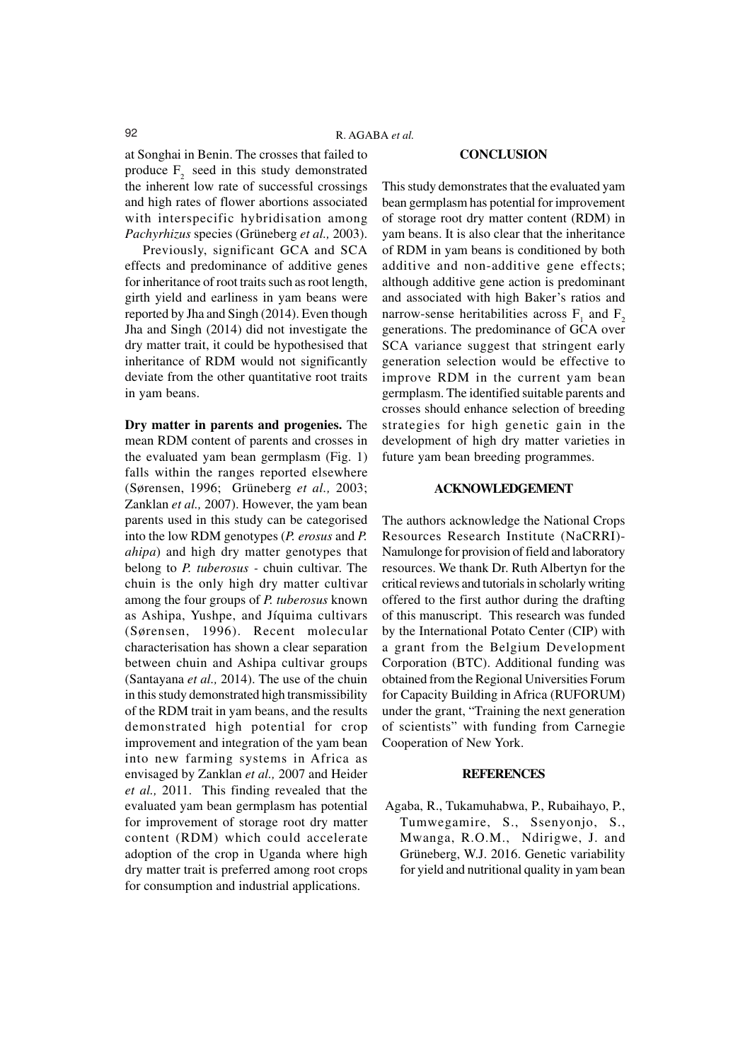#### **CONCLUSION**

at Songhai in Benin. The crosses that failed to produce  $F<sub>2</sub>$  seed in this study demonstrated the inherent low rate of successful crossings and high rates of flower abortions associated with interspecific hybridisation among *Pachyrhizus* species (Grüneberg *et al.,* 2003).

Previously, significant GCA and SCA effects and predominance of additive genes for inheritance of root traits such as root length, girth yield and earliness in yam beans were reported by Jha and Singh (2014). Even though Jha and Singh (2014) did not investigate the dry matter trait, it could be hypothesised that inheritance of RDM would not significantly deviate from the other quantitative root traits in yam beans.

**Dry matter in parents and progenies.** The mean RDM content of parents and crosses in the evaluated yam bean germplasm (Fig. 1) falls within the ranges reported elsewhere (Sørensen, 1996; Grüneberg *et al.,* 2003; Zanklan *et al.,* 2007). However, the yam bean parents used in this study can be categorised into the low RDM genotypes (*P. erosus* and *P. ahipa*) and high dry matter genotypes that belong to *P. tuberosus -* chuin cultivar. The chuin is the only high dry matter cultivar among the four groups of *P. tuberosus* known as Ashipa, Yushpe, and Jíquima cultivars (Sørensen, 1996). Recent molecular characterisation has shown a clear separation between chuin and Ashipa cultivar groups (Santayana *et al.,* 2014). The use of the chuin in this study demonstrated high transmissibility of the RDM trait in yam beans, and the results demonstrated high potential for crop improvement and integration of the yam bean into new farming systems in Africa as envisaged by Zanklan *et al.,* 2007 and Heider *et al.,* 2011. This finding revealed that the evaluated yam bean germplasm has potential for improvement of storage root dry matter content (RDM) which could accelerate adoption of the crop in Uganda where high dry matter trait is preferred among root crops for consumption and industrial applications.

This study demonstrates that the evaluated yam bean germplasm has potential for improvement of storage root dry matter content (RDM) in yam beans. It is also clear that the inheritance of RDM in yam beans is conditioned by both additive and non-additive gene effects; although additive gene action is predominant and associated with high Baker's ratios and narrow-sense heritabilities across  $F_1$  and  $F_2$ generations. The predominance of GCA over SCA variance suggest that stringent early generation selection would be effective to improve RDM in the current yam bean germplasm. The identified suitable parents and crosses should enhance selection of breeding strategies for high genetic gain in the development of high dry matter varieties in future yam bean breeding programmes.

## **ACKNOWLEDGEMENT**

The authors acknowledge the National Crops Resources Research Institute (NaCRRI)- Namulonge for provision of field and laboratory resources. We thank Dr. Ruth Albertyn for the critical reviews and tutorials in scholarly writing offered to the first author during the drafting of this manuscript. This research was funded by the International Potato Center (CIP) with a grant from the Belgium Development Corporation (BTC). Additional funding was obtained from the Regional Universities Forum for Capacity Building in Africa (RUFORUM) under the grant, "Training the next generation of scientists" with funding from Carnegie Cooperation of New York.

#### **REFERENCES**

Agaba, R., Tukamuhabwa, P., Rubaihayo, P., Tumwegamire, S., Ssenyonjo, S., Mwanga, R.O.M., Ndirigwe, J. and Grüneberg, W.J. 2016. Genetic variability for yield and nutritional quality in yam bean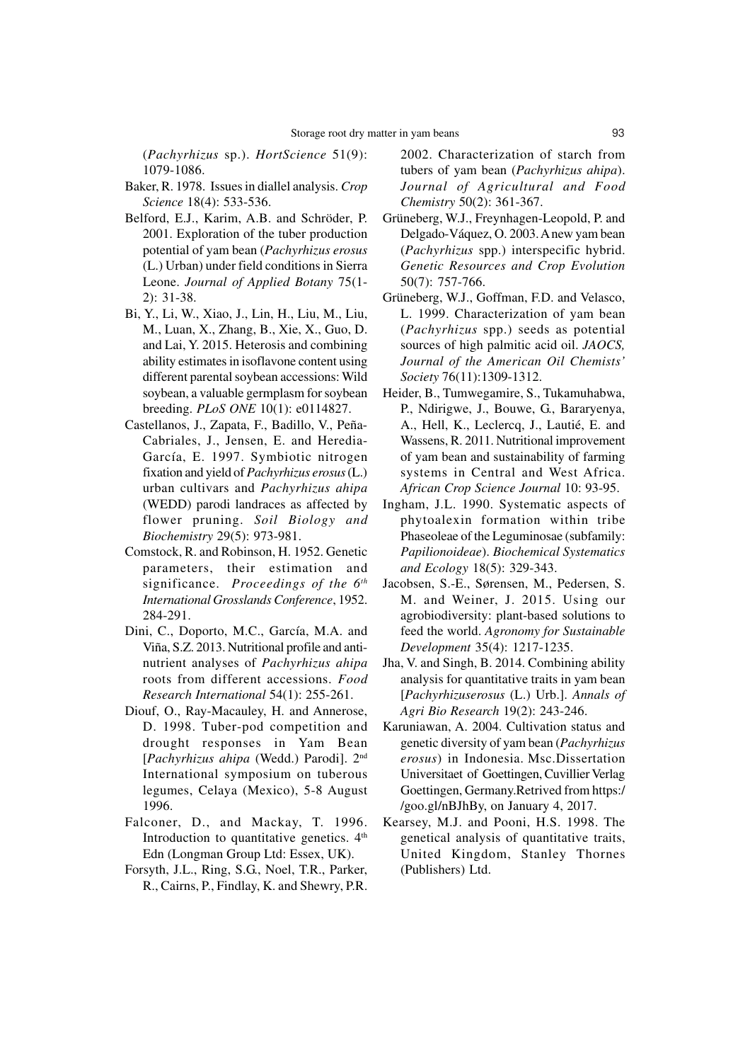(*Pachyrhizus* sp.). *HortScience* 51(9): 1079-1086.

- Baker, R. 1978. Issues in diallel analysis. *Crop Science* 18(4): 533-536.
- Belford, E.J., Karim, A.B. and Schröder, P. 2001. Exploration of the tuber production potential of yam bean (*Pachyrhizus erosus* (L.) Urban) under field conditions in Sierra Leone. *Journal of Applied Botany* 75(1- 2): 31-38.
- Bi, Y., Li, W., Xiao, J., Lin, H., Liu, M., Liu, M., Luan, X., Zhang, B., Xie, X., Guo, D. and Lai, Y. 2015. Heterosis and combining ability estimates in isoflavone content using different parental soybean accessions: Wild soybean, a valuable germplasm for soybean breeding. *PLoS ONE* 10(1): e0114827.
- Castellanos, J., Zapata, F., Badillo, V., Peña-Cabriales, J., Jensen, E. and Heredia-García, E. 1997. Symbiotic nitrogen fixation and yield of *Pachyrhizus erosus* (L.) urban cultivars and *Pachyrhizus ahipa* (WEDD) parodi landraces as affected by flower pruning. *Soil Biology and Biochemistry* 29(5): 973-981.
- Comstock, R. and Robinson, H. 1952. Genetic parameters, their estimation and significance. *Proceedings of the 6th International Grosslands Conference*, 1952. 284-291.
- Dini, C., Doporto, M.C., García, M.A. and Viña, S.Z. 2013. Nutritional profile and antinutrient analyses of *Pachyrhizus ahipa* roots from different accessions. *Food Research International* 54(1): 255-261.
- Diouf, O., Ray-Macauley, H. and Annerose, D. 1998. Tuber-pod competition and drought responses in Yam Bean [*Pachyrhizus ahipa* (Wedd.) Parodi]. 2nd International symposium on tuberous legumes, Celaya (Mexico), 5-8 August 1996.
- Falconer, D., and Mackay, T. 1996. Introduction to quantitative genetics.  $4<sup>th</sup>$ Edn (Longman Group Ltd: Essex, UK).
- Forsyth, J.L., Ring, S.G., Noel, T.R., Parker, R., Cairns, P., Findlay, K. and Shewry, P.R.

2002. Characterization of starch from tubers of yam bean (*Pachyrhizus ahipa*). *Journal of Agricultural and Food Chemistry* 50(2): 361-367.

- Grüneberg, W.J., Freynhagen-Leopold, P. and Delgado-Váquez, O. 2003. A new yam bean (*Pachyrhizus* spp.) interspecific hybrid. *Genetic Resources and Crop Evolution* 50(7): 757-766.
- Grüneberg, W.J., Goffman, F.D. and Velasco, L. 1999. Characterization of yam bean (*Pachyrhizus* spp.) seeds as potential sources of high palmitic acid oil. *JAOCS, Journal of the American Oil Chemists' Society* 76(11):1309-1312.
- Heider, B., Tumwegamire, S., Tukamuhabwa, P., Ndirigwe, J., Bouwe, G., Bararyenya, A., Hell, K., Leclercq, J., Lautié, E. and Wassens, R. 2011. Nutritional improvement of yam bean and sustainability of farming systems in Central and West Africa. *African Crop Science Journal* 10: 93-95.
- Ingham, J.L. 1990. Systematic aspects of phytoalexin formation within tribe Phaseoleae of the Leguminosae (subfamily: *Papilionoideae*). *Biochemical Systematics and Ecology* 18(5): 329-343.
- Jacobsen, S.-E., Sørensen, M., Pedersen, S. M. and Weiner, J. 2015. Using our agrobiodiversity: plant-based solutions to feed the world. *Agronomy for Sustainable Development* 35(4): 1217-1235.
- Jha, V. and Singh, B. 2014. Combining ability analysis for quantitative traits in yam bean [*Pachyrhizuserosus* (L.) Urb.]. *Annals of Agri Bio Research* 19(2): 243-246.
- Karuniawan, A. 2004. Cultivation status and genetic diversity of yam bean (*Pachyrhizus erosus*) in Indonesia. Msc.Dissertation Universitaet of Goettingen, Cuvillier Verlag Goettingen, Germany.Retrived from https:/ /goo.gl/nBJhBy, on January 4, 2017.
- Kearsey, M.J. and Pooni, H.S. 1998. The genetical analysis of quantitative traits, United Kingdom, Stanley Thornes (Publishers) Ltd.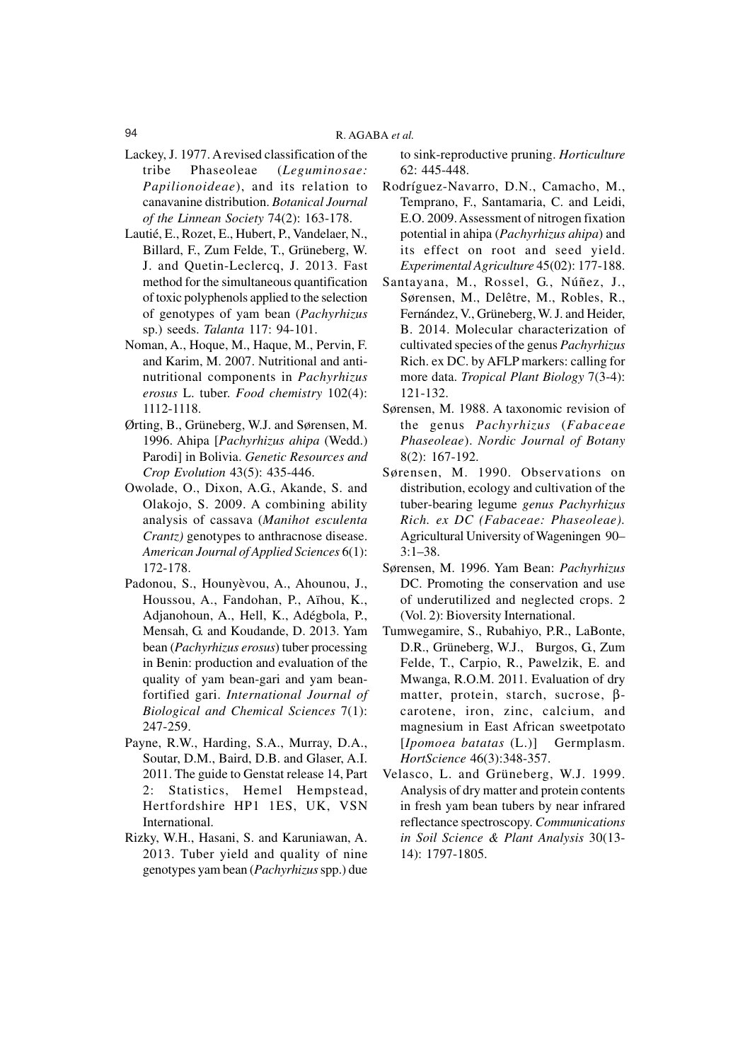- Lackey, J. 1977. A revised classification of the tribe Phaseoleae (*Leguminosae: Papilionoideae*), and its relation to canavanine distribution. *Botanical Journal of the Linnean Society* 74(2): 163-178.
- Lautié, E., Rozet, E., Hubert, P., Vandelaer, N., Billard, F., Zum Felde, T., Grüneberg, W. J. and Quetin-Leclercq, J. 2013. Fast method for the simultaneous quantification of toxic polyphenols applied to the selection of genotypes of yam bean (*Pachyrhizus* sp.) seeds. *Talanta* 117: 94-101.
- Noman, A., Hoque, M., Haque, M., Pervin, F. and Karim, M. 2007. Nutritional and antinutritional components in *Pachyrhizus erosus* L. tuber. *Food chemistry* 102(4): 1112-1118.
- Ørting, B., Grüneberg, W.J. and Sørensen, M. 1996. Ahipa [*Pachyrhizus ahipa* (Wedd.) Parodi] in Bolivia. *Genetic Resources and Crop Evolution* 43(5): 435-446.
- Owolade, O., Dixon, A.G., Akande, S. and Olakojo, S. 2009. A combining ability analysis of cassava (*Manihot esculenta Crantz)* genotypes to anthracnose disease. *American Journal of Applied Sciences* 6(1): 172-178.
- Padonou, S., Hounyèvou, A., Ahounou, J., Houssou, A., Fandohan, P., Aïhou, K., Adjanohoun, A., Hell, K., Adégbola, P., Mensah, G. and Koudande, D. 2013. Yam bean (*Pachyrhizus erosus*) tuber processing in Benin: production and evaluation of the quality of yam bean-gari and yam beanfortified gari. *International Journal of Biological and Chemical Sciences* 7(1): 247-259.
- Payne, R.W., Harding, S.A., Murray, D.A., Soutar, D.M., Baird, D.B. and Glaser, A.I. 2011. The guide to Genstat release 14, Part 2: Statistics, Hemel Hempstead, Hertfordshire HP1 1ES, UK, VSN International.
- Rizky, W.H., Hasani, S. and Karuniawan, A. 2013. Tuber yield and quality of nine genotypes yam bean (*Pachyrhizus* spp.) due

to sink-reproductive pruning. *Horticulture* 62: 445-448.

- Rodríguez-Navarro, D.N., Camacho, M., Temprano, F., Santamaria, C. and Leidi, E.O. 2009. Assessment of nitrogen fixation potential in ahipa (*Pachyrhizus ahipa*) and its effect on root and seed yield. *Experimental Agriculture* 45(02): 177-188.
- Santayana, M., Rossel, G., Núñez, J., Sørensen, M., Delêtre, M., Robles, R., Fernández, V., Grüneberg, W. J. and Heider, B. 2014. Molecular characterization of cultivated species of the genus *Pachyrhizus* Rich. ex DC. by AFLP markers: calling for more data. *Tropical Plant Biology* 7(3-4): 121-132.
- Sørensen, M. 1988. A taxonomic revision of the genus *Pachyrhizus* (*Fabaceae Phaseoleae*). *Nordic Journal of Botany* 8(2): 167-192.
- Sørensen, M. 1990. Observations on distribution, ecology and cultivation of the tuber-bearing legume *genus Pachyrhizus Rich. ex DC (Fabaceae: Phaseoleae).* Agricultural University of Wageningen 90– 3:1–38.
- Sørensen, M. 1996. Yam Bean: *Pachyrhizus* DC. Promoting the conservation and use of underutilized and neglected crops. 2 (Vol. 2): Bioversity International.
- Tumwegamire, S., Rubahiyo, P.R., LaBonte, D.R., Grüneberg, W.J., Burgos, G., Zum Felde, T., Carpio, R., Pawelzik, E. and Mwanga, R.O.M. 2011. Evaluation of dry matter, protein, starch, sucrose, βcarotene, iron, zinc, calcium, and magnesium in East African sweetpotato [*Ipomoea batatas* (L.)] Germplasm. *HortScience* 46(3):348-357.
- Velasco, L. and Grüneberg, W.J. 1999. Analysis of dry matter and protein contents in fresh yam bean tubers by near infrared reflectance spectroscopy. *Communications in Soil Science & Plant Analysis* 30(13- 14): 1797-1805.